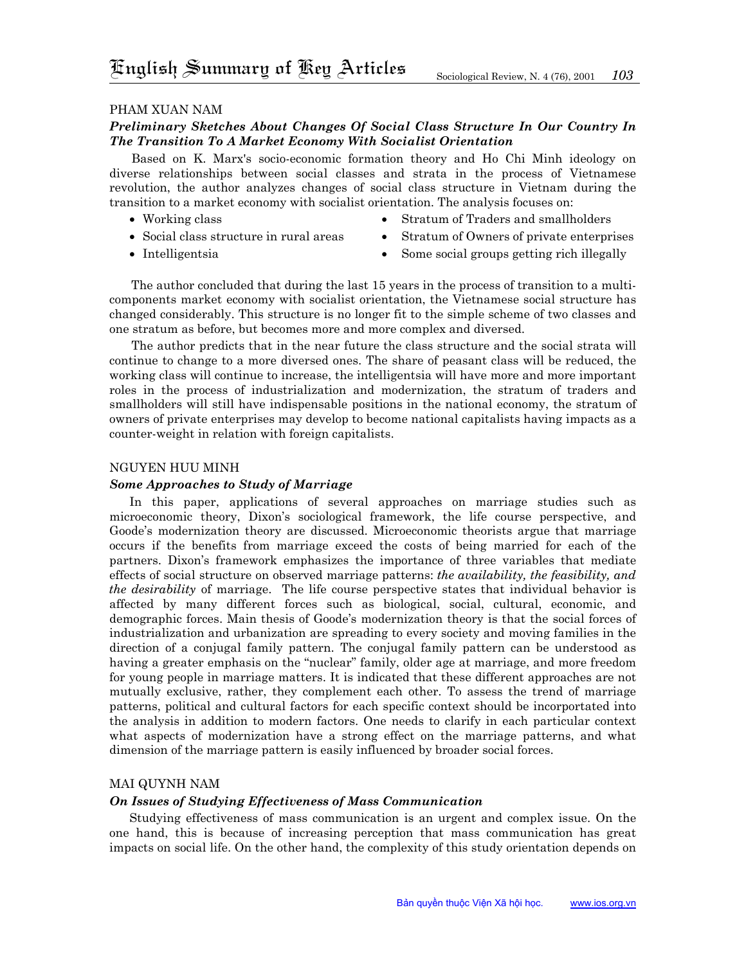## Pham Xuan Nam

# *Preliminary Sketches About Changes Of Social Class Structure In Our Country In The Transition To A Market Economy With Socialist Orientation*

Based on K. Marx's socio-economic formation theory and Ho Chi Minh ideology on diverse relationships between social classes and strata in the process of Vietnamese revolution, the author analyzes changes of social class structure in Vietnam during the transition to a market economy with socialist orientation. The analysis focuses on:

• Working class

- Stratum of Traders and smallholders
- Social class structure in rural areas
- Stratum of Owners of private enterprises

• Intelligentsia

• Some social groups getting rich illegally

The author concluded that during the last 15 years in the process of transition to a multicomponents market economy with socialist orientation, the Vietnamese social structure has changed considerably. This structure is no longer fit to the simple scheme of two classes and one stratum as before, but becomes more and more complex and diversed.

The author predicts that in the near future the class structure and the social strata will continue to change to a more diversed ones. The share of peasant class will be reduced, the working class will continue to increase, the intelligentsia will have more and more important roles in the process of industrialization and modernization, the stratum of traders and smallholders will still have indispensable positions in the national economy, the stratum of owners of private enterprises may develop to become national capitalists having impacts as a counter-weight in relation with foreign capitalists.

### Nguyen Huu Minh

### *Some Approaches to Study of Marriage*

In this paper, applications of several approaches on marriage studies such as microeconomic theory, Dixon's sociological framework, the life course perspective, and Goode's modernization theory are discussed. Microeconomic theorists argue that marriage occurs if the benefits from marriage exceed the costs of being married for each of the partners. Dixon's framework emphasizes the importance of three variables that mediate effects of social structure on observed marriage patterns: *the availability, the feasibility, and the desirability* of marriage. The life course perspective states that individual behavior is affected by many different forces such as biological, social, cultural, economic, and demographic forces. Main thesis of Goode's modernization theory is that the social forces of industrialization and urbanization are spreading to every society and moving families in the direction of a conjugal family pattern. The conjugal family pattern can be understood as having a greater emphasis on the "nuclear" family, older age at marriage, and more freedom for young people in marriage matters. It is indicated that these different approaches are not mutually exclusive, rather, they complement each other. To assess the trend of marriage patterns, political and cultural factors for each specific context should be incorportated into the analysis in addition to modern factors. One needs to clarify in each particular context what aspects of modernization have a strong effect on the marriage patterns, and what dimension of the marriage pattern is easily influenced by broader social forces.

### Mai Quynh Nam

### *On Issues of Studying Effectiveness of Mass Communication*

Studying effectiveness of mass communication is an urgent and complex issue. On the one hand, this is because of increasing perception that mass communication has great impacts on social life. On the other hand, the complexity of this study orientation depends on